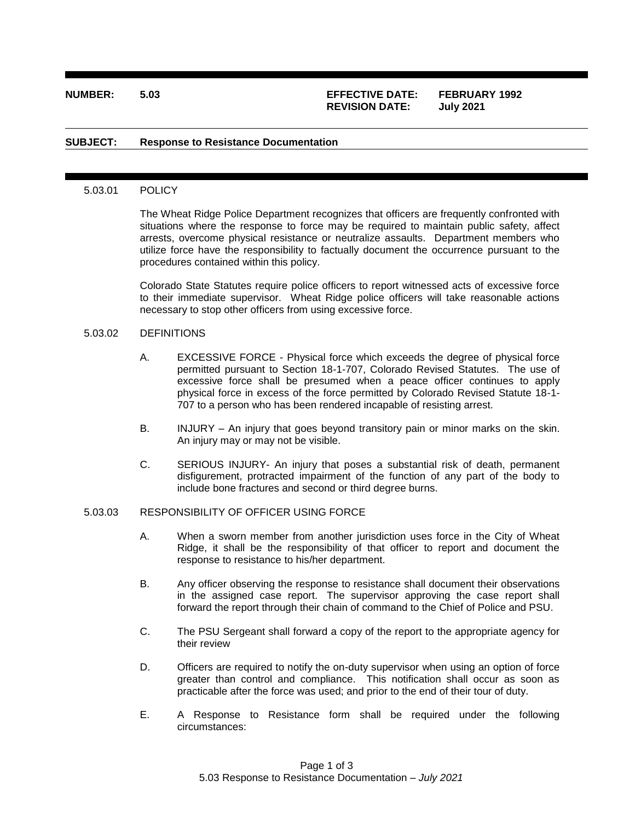# **NUMBER: 5.03 EFFECTIVE DATE: FEBRUARY 1992 REVISION DATE: July 2021**

### **SUBJECT: Response to Resistance Documentation**

#### 5.03.01 POLICY

The Wheat Ridge Police Department recognizes that officers are frequently confronted with situations where the response to force may be required to maintain public safety, affect arrests, overcome physical resistance or neutralize assaults. Department members who utilize force have the responsibility to factually document the occurrence pursuant to the procedures contained within this policy.

Colorado State Statutes require police officers to report witnessed acts of excessive force to their immediate supervisor. Wheat Ridge police officers will take reasonable actions necessary to stop other officers from using excessive force.

### 5.03.02 DEFINITIONS

- A. EXCESSIVE FORCE Physical force which exceeds the degree of physical force permitted pursuant to Section 18-1-707, Colorado Revised Statutes. The use of excessive force shall be presumed when a peace officer continues to apply physical force in excess of the force permitted by Colorado Revised Statute 18-1- 707 to a person who has been rendered incapable of resisting arrest.
- B. INJURY An injury that goes beyond transitory pain or minor marks on the skin. An injury may or may not be visible.
- C. SERIOUS INJURY- An injury that poses a substantial risk of death, permanent disfigurement, protracted impairment of the function of any part of the body to include bone fractures and second or third degree burns.

# 5.03.03 RESPONSIBILITY OF OFFICER USING FORCE

- A. When a sworn member from another jurisdiction uses force in the City of Wheat Ridge, it shall be the responsibility of that officer to report and document the response to resistance to his/her department.
- B. Any officer observing the response to resistance shall document their observations in the assigned case report. The supervisor approving the case report shall forward the report through their chain of command to the Chief of Police and PSU.
- C. The PSU Sergeant shall forward a copy of the report to the appropriate agency for their review
- D. Officers are required to notify the on-duty supervisor when using an option of force greater than control and compliance. This notification shall occur as soon as practicable after the force was used; and prior to the end of their tour of duty.
- E. A Response to Resistance form shall be required under the following circumstances: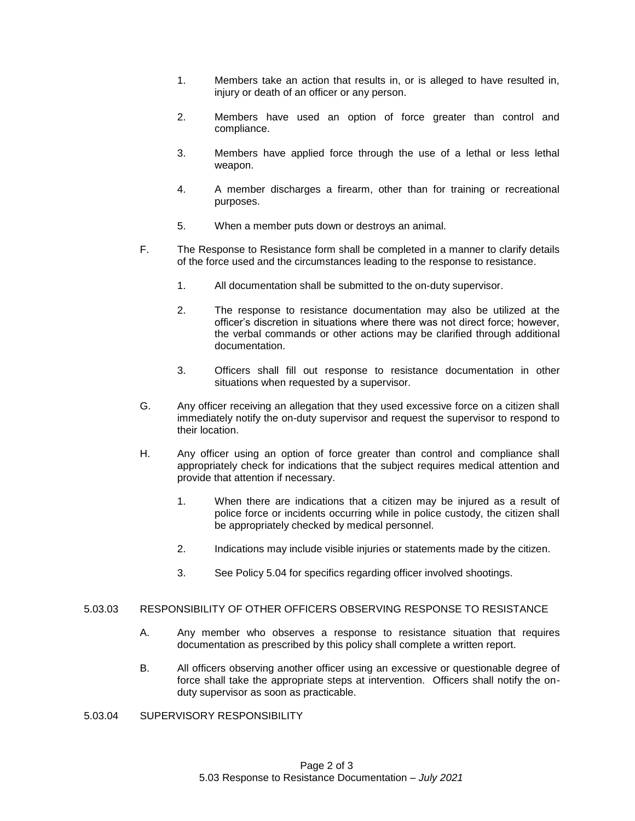- 1. Members take an action that results in, or is alleged to have resulted in, injury or death of an officer or any person.
- 2. Members have used an option of force greater than control and compliance.
- 3. Members have applied force through the use of a lethal or less lethal weapon.
- 4. A member discharges a firearm, other than for training or recreational purposes.
- 5. When a member puts down or destroys an animal.
- F. The Response to Resistance form shall be completed in a manner to clarify details of the force used and the circumstances leading to the response to resistance.
	- 1. All documentation shall be submitted to the on-duty supervisor.
	- 2. The response to resistance documentation may also be utilized at the officer's discretion in situations where there was not direct force; however, the verbal commands or other actions may be clarified through additional documentation.
	- 3. Officers shall fill out response to resistance documentation in other situations when requested by a supervisor.
- G. Any officer receiving an allegation that they used excessive force on a citizen shall immediately notify the on-duty supervisor and request the supervisor to respond to their location.
- H. Any officer using an option of force greater than control and compliance shall appropriately check for indications that the subject requires medical attention and provide that attention if necessary.
	- 1. When there are indications that a citizen may be injured as a result of police force or incidents occurring while in police custody, the citizen shall be appropriately checked by medical personnel.
	- 2. Indications may include visible injuries or statements made by the citizen.
	- 3. See Policy 5.04 for specifics regarding officer involved shootings.

## 5.03.03 RESPONSIBILITY OF OTHER OFFICERS OBSERVING RESPONSE TO RESISTANCE

- A. Any member who observes a response to resistance situation that requires documentation as prescribed by this policy shall complete a written report.
- B. All officers observing another officer using an excessive or questionable degree of force shall take the appropriate steps at intervention. Officers shall notify the onduty supervisor as soon as practicable.
- 5.03.04 SUPERVISORY RESPONSIBILITY